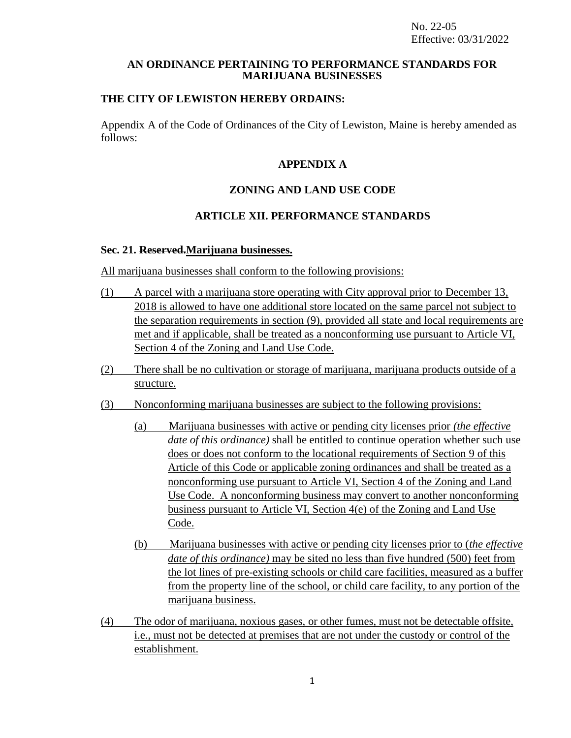#### **AN ORDINANCE PERTAINING TO PERFORMANCE STANDARDS FOR MARIJUANA BUSINESSES**

## **THE CITY OF LEWISTON HEREBY ORDAINS:**

Appendix A of the Code of Ordinances of the City of Lewiston, Maine is hereby amended as follows:

## **APPENDIX A**

# **ZONING AND LAND USE CODE**

# **ARTICLE XII. PERFORMANCE STANDARDS**

#### **Sec. 21. Reserved.Marijuana businesses.**

All marijuana businesses shall conform to the following provisions:

- (1) A parcel with a marijuana store operating with City approval prior to December 13, 2018 is allowed to have one additional store located on the same parcel not subject to the separation requirements in section (9), provided all state and local requirements are met and if applicable, shall be treated as a nonconforming use pursuant to Article VI, Section 4 of the Zoning and Land Use Code.
- (2) There shall be no cultivation or storage of marijuana, marijuana products outside of a structure.
- (3) Nonconforming marijuana businesses are subject to the following provisions:
	- (a) Marijuana businesses with active or pending city licenses prior *(the effective date of this ordinance)* shall be entitled to continue operation whether such use does or does not conform to the locational requirements of Section 9 of this Article of this Code or applicable zoning ordinances and shall be treated as a nonconforming use pursuant to Article VI, Section 4 of the Zoning and Land Use Code. A nonconforming business may convert to another nonconforming business pursuant to Article VI, Section 4(e) of the Zoning and Land Use Code.
	- (b) Marijuana businesses with active or pending city licenses prior to (*the effective date of this ordinance)* may be sited no less than five hundred (500) feet from the lot lines of pre-existing schools or child care facilities, measured as a buffer from the property line of the school, or child care facility, to any portion of the marijuana business.
- (4) The odor of marijuana, noxious gases, or other fumes, must not be detectable offsite, i.e., must not be detected at premises that are not under the custody or control of the establishment.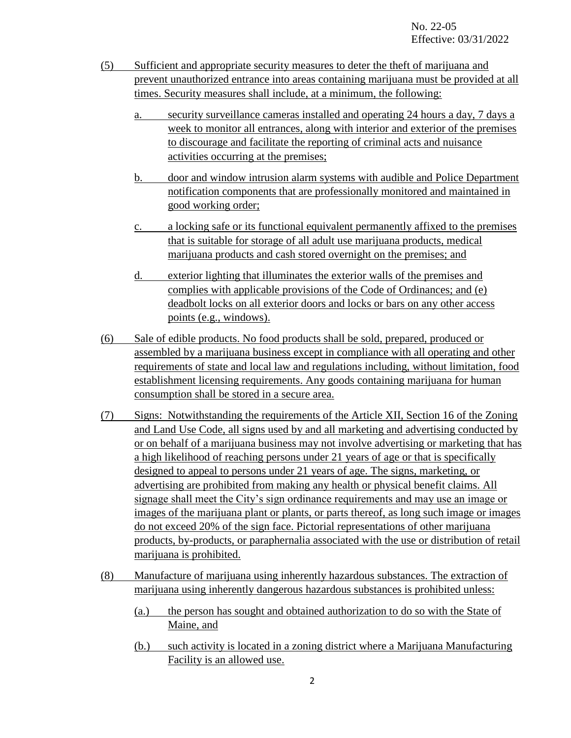- (5) Sufficient and appropriate security measures to deter the theft of marijuana and prevent unauthorized entrance into areas containing marijuana must be provided at all times. Security measures shall include, at a minimum, the following:
	- a. security surveillance cameras installed and operating 24 hours a day, 7 days a week to monitor all entrances, along with interior and exterior of the premises to discourage and facilitate the reporting of criminal acts and nuisance activities occurring at the premises;
	- b. door and window intrusion alarm systems with audible and Police Department notification components that are professionally monitored and maintained in good working order;
	- c. a locking safe or its functional equivalent permanently affixed to the premises that is suitable for storage of all adult use marijuana products, medical marijuana products and cash stored overnight on the premises; and
	- d. exterior lighting that illuminates the exterior walls of the premises and complies with applicable provisions of the Code of Ordinances; and (e) deadbolt locks on all exterior doors and locks or bars on any other access points (e.g., windows).
- (6) Sale of edible products. No food products shall be sold, prepared, produced or assembled by a marijuana business except in compliance with all operating and other requirements of state and local law and regulations including, without limitation, food establishment licensing requirements. Any goods containing marijuana for human consumption shall be stored in a secure area.
- (7) Signs: Notwithstanding the requirements of the Article XII, Section 16 of the Zoning and Land Use Code, all signs used by and all marketing and advertising conducted by or on behalf of a marijuana business may not involve advertising or marketing that has a high likelihood of reaching persons under 21 years of age or that is specifically designed to appeal to persons under 21 years of age. The signs, marketing, or advertising are prohibited from making any health or physical benefit claims. All signage shall meet the City's sign ordinance requirements and may use an image or images of the marijuana plant or plants, or parts thereof, as long such image or images do not exceed 20% of the sign face. Pictorial representations of other marijuana products, by-products, or paraphernalia associated with the use or distribution of retail marijuana is prohibited.
- (8) Manufacture of marijuana using inherently hazardous substances. The extraction of marijuana using inherently dangerous hazardous substances is prohibited unless:
	- (a.) the person has sought and obtained authorization to do so with the State of Maine, and
	- (b.) such activity is located in a zoning district where a Marijuana Manufacturing Facility is an allowed use.